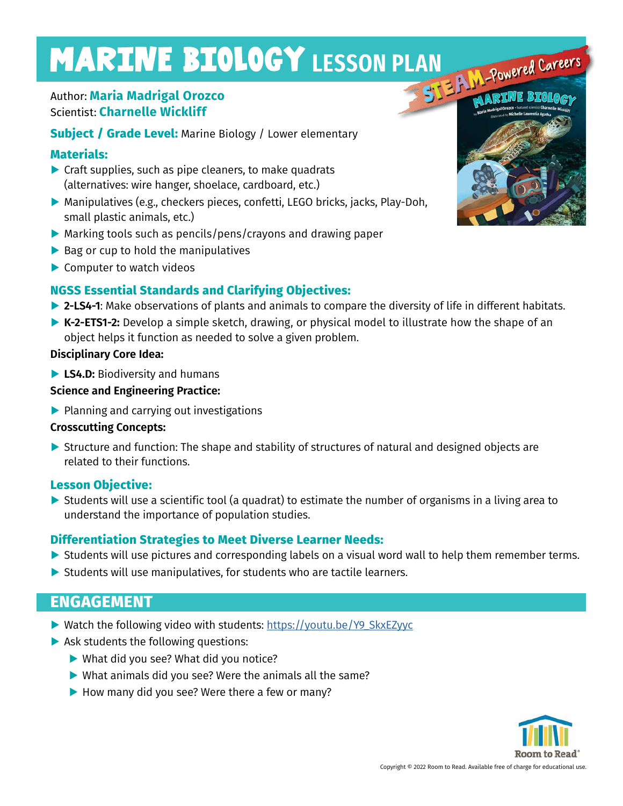# MARINE BIOLOGY LESSON PLAN Powered Careers

# Author: **Maria Madrigal Orozco** Scientist: **Charnelle Wickliff**

**Subject / Grade Level: Marine Biology / Lower elementary** 

## **Materials:**

- **▶** Craft supplies, such as pipe cleaners, to make quadrats (alternatives: wire hanger, shoelace, cardboard, etc.)
- **▶** Manipulatives (e.g., checkers pieces, confetti, LEGO bricks, jacks, Play-Doh, small plastic animals, etc.)
- **▶** Marking tools such as pencils/pens/crayons and drawing paper
- **▶** Bag or cup to hold the manipulatives
- **▶** Computer to watch videos

# **NGSS Essential Standards and Clarifying Objectives:**

- **▶ 2-LS4-1**: Make observations of plants and animals to compare the diversity of life in different habitats.
- **▶ K-2-ETS1-2:** Develop a simple sketch, drawing, or physical model to illustrate how the shape of an object helps it function as needed to solve a given problem.

### **Disciplinary Core Idea:**

**▶ LS4.D:** Biodiversity and humans

### **Science and Engineering Practice:**

**▶** Planning and carrying out investigations

#### **Crosscutting Concepts:**

▶ Structure and function: The shape and stability of structures of natural and designed objects are related to their functions.

## **Lesson Objective:**

**▶** Students will use a scientific tool (a quadrat) to estimate the number of organisms in a living area to understand the importance of population studies.

## **Differentiation Strategies to Meet Diverse Learner Needs:**

- ▶ Students will use pictures and corresponding labels on a visual word wall to help them remember terms.
- **▶** Students will use manipulatives, for students who are tactile learners.

# **ENGAGEMENT**

- ▶ Watch the following video with students: https://youtu.be/Y9\_SkxEZyyc
- **▶ Ask students the following questions:** 
	- **▶** What did you see? What did you notice?
	- **▶** What animals did you see? Were the animals all the same?
	- ▶ How many did you see? Were there a few or many?

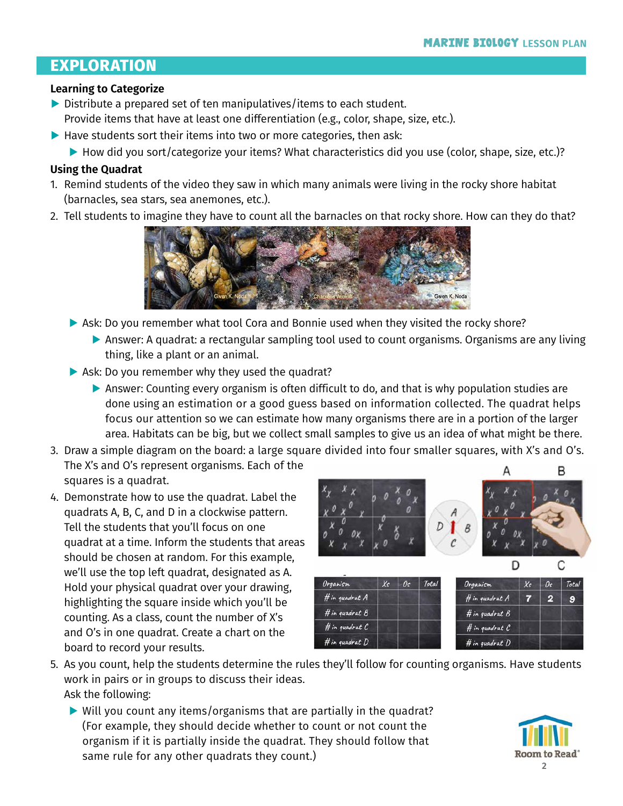# **EXPLORATION**

#### **Learning to Categorize**

- **▶** Distribute a prepared set of ten manipulatives/items to each student. Provide items that have at least one differentiation (e.g., color, shape, size, etc.).
- ▶ Have students sort their items into two or more categories, then ask:
	- ▶ How did you sort/categorize your items? What characteristics did you use (color, shape, size, etc.)?

#### **Using the Quadrat**

- 1. Remind students of the video they saw in which many animals were living in the rocky shore habitat (barnacles, sea stars, sea anemones, etc.).
- 2. Tell students to imagine they have to count all the barnacles on that rocky shore. How can they do that?



- ▶ Ask: Do you remember what tool Cora and Bonnie used when they visited the rocky shore?
	- ▶ Answer: A quadrat: a rectangular sampling tool used to count organisms. Organisms are any living thing, like a plant or an animal.
- **▶** Ask: Do you remember why they used the quadrat?
	- **▶ Answer: Counting every organism is often difficult to do, and that is why population studies are** done using an estimation or a good guess based on information collected. The quadrat helps focus our attention so we can estimate how many organisms there are in a portion of the larger area. Habitats can be big, but we collect small samples to give us an idea of what might be there.
- 3. Draw a simple diagram on the board: a large square divided into four smaller squares, with X's and O's. The X's and O's represent organisms. Each of the B squares is a quadrat.
- 4. Demonstrate how to use the quadrat. Label the quadrats A, B, C, and D in a clockwise pattern. Tell the students that you'll focus on one quadrat at a time. Inform the students that areas should be chosen at random. For this example, we'll use the top left quadrat, designated as A. Hold your physical quadrat over your drawing, highlighting the square inside which you'll be counting. As a class, count the number of X's and O's in one quadrat. Create a chart on the board to record your results.



- 5. As you count, help the students determine the rules they'll follow for counting organisms. Have students work in pairs or in groups to discuss their ideas. Ask the following:
	- **▶** Will you count any items/organisms that are partially in the quadrat? (For example, they should decide whether to count or not count the organism if it is partially inside the quadrat. They should follow that same rule for any other quadrats they count.)

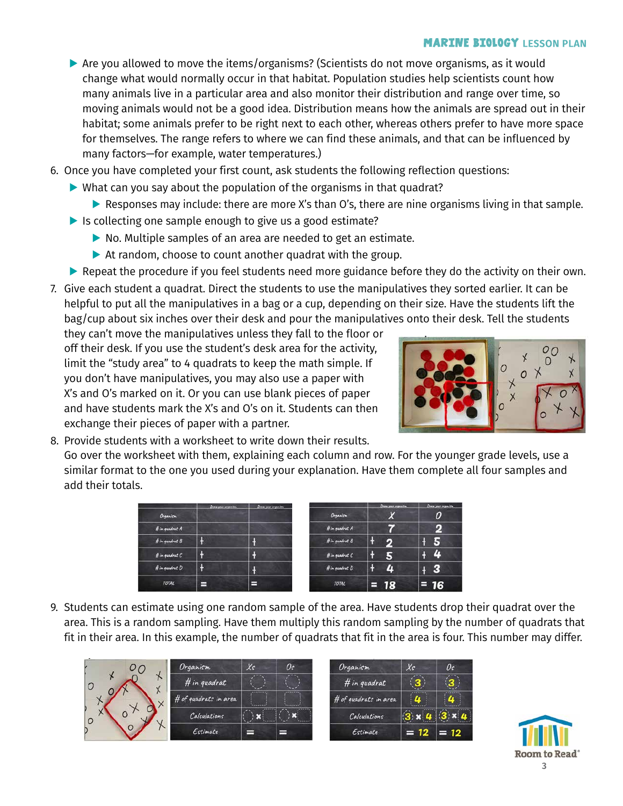#### **MARINE BIOLOGY LESSON PLAN**

- ▶ Are you allowed to move the items/organisms? (Scientists do not move organisms, as it would change what would normally occur in that habitat. Population studies help scientists count how many animals live in a particular area and also monitor their distribution and range over time, so moving animals would not be a good idea. Distribution means how the animals are spread out in their habitat; some animals prefer to be right next to each other, whereas others prefer to have more space for themselves. The range refers to where we can find these animals, and that can be influenced by many factors—for example, water temperatures.)
- 6. Once you have completed your first count, ask students the following reflection questions:
	- **▶** What can you say about the population of the organisms in that quadrat?
		- ▶ Responses may include: there are more X's than O's, there are nine organisms living in that sample.
	- ▶ Is collecting one sample enough to give us a good estimate?
		- **▶** No. Multiple samples of an area are needed to get an estimate.
		- **▶** At random, choose to count another quadrat with the group.
	- ▶ Repeat the procedure if you feel students need more guidance before they do the activity on their own.
- 7. Give each student a quadrat. Direct the students to use the manipulatives they sorted earlier. It can be helpful to put all the manipulatives in a bag or a cup, depending on their size. Have the students lift the bag/cup about six inches over their desk and pour the manipulatives onto their desk. Tell the students

they can't move the manipulatives unless they fall to the floor or off their desk. If you use the student's desk area for the activity, limit the "study area" to 4 quadrats to keep the math simple. If you don't have manipulatives, you may also use a paper with X's and O's marked on it. Or you can use blank pieces of paper and have students mark the X's and O's on it. Students can then exchange their pieces of paper with a partner.



8. Provide students with a worksheet to write down their results. Go over the worksheet with them, explaining each column and row. For the younger grade levels, use a similar format to the one you used during your explanation. Have them complete all four samples and add their totals.

|                    | Draw year arganizm | Draw your erganism |                    | Draw your arguaica | Draw your organism |
|--------------------|--------------------|--------------------|--------------------|--------------------|--------------------|
| Organism           |                    |                    | Organism           |                    | 0                  |
| $#$ in quadrat $A$ |                    |                    | If in quadrat A    |                    | 2                  |
| $#$ in quadrat $B$ |                    |                    | If in quadrat $8$  |                    |                    |
| $#$ in quadrat $C$ |                    |                    | # in quadrat C     |                    | r                  |
| $#$ in quadrat $D$ |                    |                    | $#$ in quadrat $D$ | z                  | s                  |
| TOTAL              | ⊟                  | −                  | TOTAL              | $= 18$             | 16                 |

9. Students can estimate using one random sample of the area. Have students drop their quadrat over the area. This is a random sampling. Have them multiply this random sampling by the number of quadrats that fit in their area. In this example, the number of quadrats that fit in the area is four. This number may differ.

|                           | Organism              | $x_{s}$                          | 0s            | Organism              | $x_{s}$                                                 | O <sub>S</sub> |
|---------------------------|-----------------------|----------------------------------|---------------|-----------------------|---------------------------------------------------------|----------------|
| $\star$<br>$\overline{O}$ | # in quadrat          |                                  |               | # in quadrat          |                                                         |                |
| $\times$                  | # of quadrats in area | <b>ARRAIGHT</b><br><b>SAMANA</b> | <b>VANADE</b> | # of quadrats in area | 18888888<br>u<br><b><i><u><u>Alexandria</u></u></i></b> |                |
| $\circ$                   | Calculations          |                                  |               | Calculations          |                                                         |                |
|                           | Estimate              | ⊣                                | ╒             | Estimate              | $= 12$                                                  | $= 12$         |